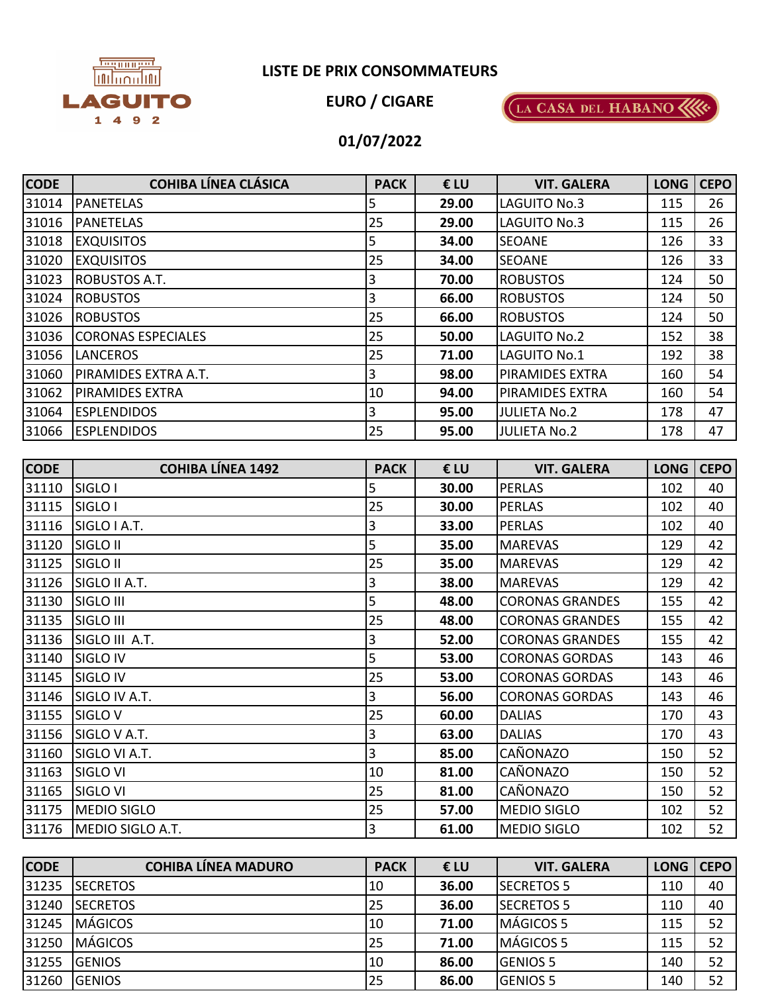

## **LISTE DE PRIX CONSOMMATEURS**

**EURO / CIGARE**



## **01/07/2022**

| <b>CODE</b> | <b>COHIBA LÍNEA CLÁSICA</b> | <b>PACK</b> | €LU   | <b>VIT. GALERA</b>     | <b>LONG</b> | <b>CEPO</b> |
|-------------|-----------------------------|-------------|-------|------------------------|-------------|-------------|
| 31014       | <b>PANETELAS</b>            | 5           | 29.00 | <b>LAGUITO No.3</b>    | 115         | 26          |
| 31016       | <b>PANETELAS</b>            | 25          | 29.00 | LAGUITO No.3           | 115         | 26          |
| 31018       | <b>EXQUISITOS</b>           | 5           | 34.00 | <b>SEOANE</b>          | 126         | 33          |
| 31020       | <b>EXQUISITOS</b>           | 25          | 34.00 | <b>SEOANE</b>          | 126         | 33          |
| 31023       | <b>ROBUSTOS A.T.</b>        | 3           | 70.00 | <b>ROBUSTOS</b>        | 124         | 50          |
| 31024       | <b>ROBUSTOS</b>             | 3           | 66.00 | <b>ROBUSTOS</b>        | 124         | 50          |
| 31026       | <b>ROBUSTOS</b>             | 25          | 66.00 | <b>ROBUSTOS</b>        | 124         | 50          |
| 31036       | <b>CORONAS ESPECIALES</b>   | 25          | 50.00 | LAGUITO No.2           | 152         | 38          |
| 31056       | <b>LANCEROS</b>             | 25          | 71.00 | <b>LAGUITO No.1</b>    | 192         | 38          |
| 31060       | PIRAMIDES EXTRA A.T.        | 3           | 98.00 | <b>PIRAMIDES EXTRA</b> | 160         | 54          |
| 31062       | <b>PIRAMIDES EXTRA</b>      | 10          | 94.00 | <b>PIRAMIDES EXTRA</b> | 160         | 54          |
| 31064       | <b>ESPLENDIDOS</b>          | 3           | 95.00 | <b>JULIETA No.2</b>    | 178         | 47          |
| 31066       | <b>ESPLENDIDOS</b>          | 25          | 95.00 | <b>JULIETA No.2</b>    | 178         | 47          |

| <b>CODE</b> | <b>COHIBA LÍNEA 1492</b> | <b>PACK</b>    | €LU   | <b>VIT. GALERA</b>     | <b>LONG</b> | <b>CEPO</b> |
|-------------|--------------------------|----------------|-------|------------------------|-------------|-------------|
| 31110       | SIGLO I                  | 5              | 30.00 | <b>PERLAS</b>          | 102         | 40          |
| 31115       | SIGLO I                  | 25             | 30.00 | <b>PERLAS</b>          | 102         | 40          |
| 31116       | SIGLO I A.T.             | 3              | 33.00 | <b>PERLAS</b>          | 102         | 40          |
| 31120       | SIGLO II                 | 5              | 35.00 | <b>MAREVAS</b>         | 129         | 42          |
| 31125       | SIGLO II                 | 25             | 35.00 | <b>MAREVAS</b>         | 129         | 42          |
| 31126       | SIGLO II A.T.            | 3              | 38.00 | <b>MAREVAS</b>         | 129         | 42          |
| 31130       | SIGLO III                | 5              | 48.00 | <b>CORONAS GRANDES</b> | 155         | 42          |
| 31135       | SIGLO III                | 25             | 48.00 | <b>CORONAS GRANDES</b> | 155         | 42          |
| 31136       | SIGLO III A.T.           | $\overline{3}$ | 52.00 | <b>CORONAS GRANDES</b> | 155         | 42          |
| 31140       | <b>SIGLO IV</b>          | 5              | 53.00 | <b>CORONAS GORDAS</b>  | 143         | 46          |
| 31145       | SIGLO IV                 | 25             | 53.00 | <b>CORONAS GORDAS</b>  | 143         | 46          |
| 31146       | SIGLO IV A.T.            | $\overline{3}$ | 56.00 | <b>CORONAS GORDAS</b>  | 143         | 46          |
| 31155       | SIGLO <sub>V</sub>       | 25             | 60.00 | <b>DALIAS</b>          | 170         | 43          |
| 31156       | SIGLO V A.T.             | $\mathbf{3}$   | 63.00 | <b>DALIAS</b>          | 170         | 43          |
| 31160       | SIGLO VI A.T.            | 3              | 85.00 | CAÑONAZO               | 150         | 52          |
| 31163       | SIGLO VI                 | 10             | 81.00 | CAÑONAZO               | 150         | 52          |
| 31165       | <b>SIGLO VI</b>          | 25             | 81.00 | CAÑONAZO               | 150         | 52          |
| 31175       | <b>MEDIO SIGLO</b>       | 25             | 57.00 | <b>MEDIO SIGLO</b>     | 102         | 52          |
| 31176       | MEDIO SIGLO A.T.         | $\overline{3}$ | 61.00 | <b>MEDIO SIGLO</b>     | 102         | 52          |

| <b>CODE</b> | <b>COHIBA LÍNEA MADURO</b> | <b>PACK</b> | €LU   | <b>VIT. GALERA</b> | <b>LONG</b> | <b>CEPO</b> |
|-------------|----------------------------|-------------|-------|--------------------|-------------|-------------|
| 31235       | <b>ISECRETOS</b>           | 10          | 36.00 | <b>SECRETOS 5</b>  | 110         | 40          |
| 31240       | <b>SECRETOS</b>            | 25          | 36.00 | <b>SECRETOS 5</b>  | 110         | 40          |
| 31245       | <b>MÁGICOS</b>             | 10          | 71.00 | MÁGICOS 5          | 115         | 52          |
| 31250       | <b>MÁGICOS</b>             | 25          | 71.00 | <b>IMÁGICOS 5</b>  | 115         | 52          |
| 31255       | <b>IGENIOS</b>             | 10          | 86.00 | <b>IGENIOS 5</b>   | 140         | 52          |
| 31260       | <b>GENIOS</b>              | 25          | 86.00 | <b>GENIOS 5</b>    | 140         | 52          |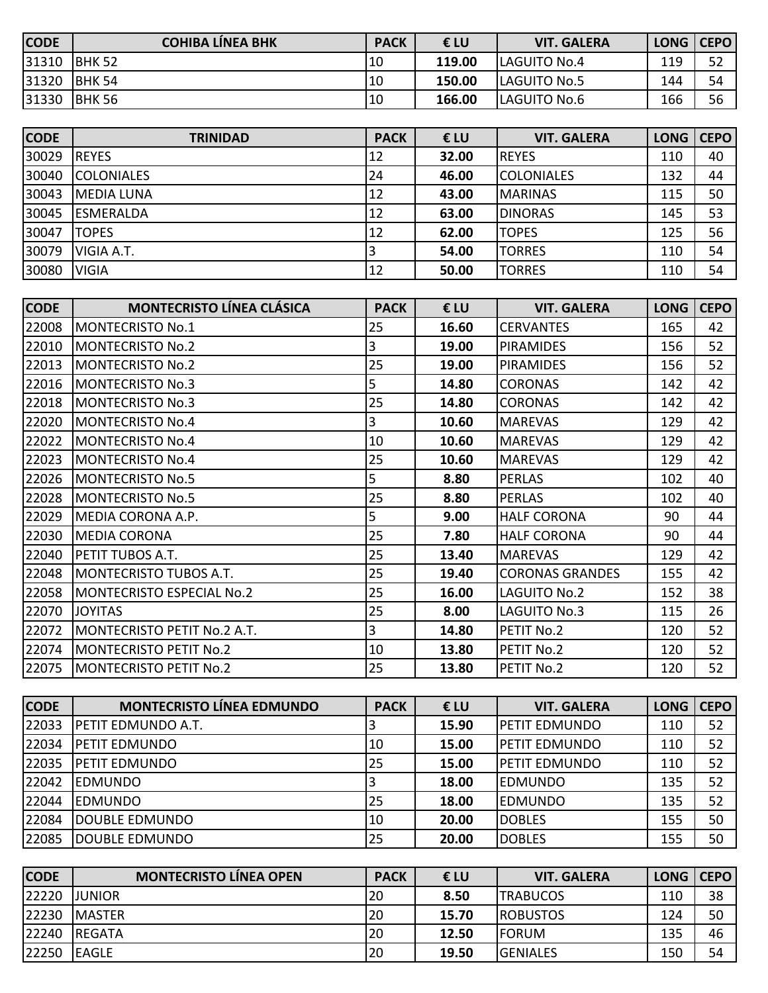| <b>CODE</b> | <b>COHIBA LINEA BHK</b> | <b>PACK</b> | €LU    | <b>VIT. GALERA</b>   | LONG   CEPO |    |
|-------------|-------------------------|-------------|--------|----------------------|-------------|----|
| 31310       | IBHK 52                 | 110         | 119.00 | <b>ILAGUITO No.4</b> | 119         | 52 |
| 31320       | IBHK 54                 | 10          | 150.00 | <b>LAGUITO No.5</b>  | 144         | 54 |
| 31330       | <b>BHK 56</b>           | 10          | 166.00 | LAGUITO No.6         | 166         | 56 |

| <b>CODE</b> | <b>TRINIDAD</b>   | <b>PACK</b> | € LU  | <b>VIT. GALERA</b> | <b>LONG</b> | <b>CEPO</b> |
|-------------|-------------------|-------------|-------|--------------------|-------------|-------------|
| 30029       | <b>IREYES</b>     | 12          | 32.00 | <b>REYES</b>       | 110         | 40          |
| 30040       | <b>COLONIALES</b> | 24          | 46.00 | <b>COLONIALES</b>  | 132         | 44          |
| 30043       | <b>MEDIA LUNA</b> | 12          | 43.00 | <b>MARINAS</b>     | 115         | 50          |
| 30045       | <b>ESMERALDA</b>  | 112         | 63.00 | <b>DINORAS</b>     | 145         | 53          |
| 30047       | <b>TOPES</b>      | 12          | 62.00 | <b>TOPES</b>       | 125         | 56          |
| 30079       | VIGIA A.T.        |             | 54.00 | <b>TORRES</b>      | 110         | 54          |
| 30080       | <b>VIGIA</b>      | 12          | 50.00 | <b>TORRES</b>      | 110         | 54          |

| <b>CODE</b> | <b>MONTECRISTO LÍNEA CLÁSICA</b> | <b>PACK</b>    | €LU   | <b>VIT. GALERA</b>     | <b>LONG</b> | <b>CEPO</b> |
|-------------|----------------------------------|----------------|-------|------------------------|-------------|-------------|
| 22008       | MONTECRISTO No.1                 | 25             | 16.60 | <b>CERVANTES</b>       | 165         | 42          |
| 22010       | <b>MONTECRISTO No.2</b>          | $\overline{3}$ | 19.00 | <b>PIRAMIDES</b>       | 156         | 52          |
| 22013       | MONTECRISTO No.2                 | 25             | 19.00 | <b>PIRAMIDES</b>       | 156         | 52          |
| 22016       | MONTECRISTO No.3                 | $\overline{5}$ | 14.80 | <b>CORONAS</b>         | 142         | 42          |
| 22018       | MONTECRISTO No.3                 | 25             | 14.80 | <b>CORONAS</b>         | 142         | 42          |
| 22020       | <b>MONTECRISTO No.4</b>          | $\overline{3}$ | 10.60 | <b>MAREVAS</b>         | 129         | 42          |
| 22022       | MONTECRISTO No.4                 | 10             | 10.60 | <b>MAREVAS</b>         | 129         | 42          |
| 22023       | <b>MONTECRISTO No.4</b>          | 25             | 10.60 | <b>MAREVAS</b>         | 129         | 42          |
| 22026       | <b>MONTECRISTO No.5</b>          | $\overline{5}$ | 8.80  | <b>PERLAS</b>          | 102         | 40          |
| 22028       | MONTECRISTO No.5                 | 25             | 8.80  | <b>PERLAS</b>          | 102         | 40          |
| 22029       | MEDIA CORONA A.P.                | 5              | 9.00  | <b>HALF CORONA</b>     | 90          | 44          |
| 22030       | <b>MEDIA CORONA</b>              | 25             | 7.80  | <b>HALF CORONA</b>     | 90          | 44          |
| 22040       | <b>PETIT TUBOS A.T.</b>          | 25             | 13.40 | <b>MAREVAS</b>         | 129         | 42          |
| 22048       | MONTECRISTO TUBOS A.T.           | 25             | 19.40 | <b>CORONAS GRANDES</b> | 155         | 42          |
| 22058       | MONTECRISTO ESPECIAL No.2        | 25             | 16.00 | <b>LAGUITO No.2</b>    | 152         | 38          |
| 22070       | <b>JOYITAS</b>                   | 25             | 8.00  | LAGUITO No.3           | 115         | 26          |
| 22072       | MONTECRISTO PETIT No.2 A.T.      | $\overline{3}$ | 14.80 | PETIT No.2             | 120         | 52          |
| 22074       | <b>MONTECRISTO PETIT No.2</b>    | 10             | 13.80 | PETIT No.2             | 120         | 52          |
|             | 22075   MONTECRISTO PETIT No.2   | 25             | 13.80 | PETIT No.2             | 120         | 52          |

| <b>CODE</b> | <b>MONTECRISTO LÍNEA EDMUNDO</b> | <b>PACK</b> | € LU  | <b>VIT. GALERA</b>   | <b>LONG</b> | <b>CEPO</b> |
|-------------|----------------------------------|-------------|-------|----------------------|-------------|-------------|
| 22033       | <b>IPETIT EDMUNDO A.T.</b>       |             | 15.90 | IPETIT EDMUNDO       | 110         | 52          |
| 22034       | <b>IPETIT EDMUNDO</b>            | $10\,$      | 15.00 | IPETIT EDMUNDO       | 110         | 52          |
| 22035       | <b>PETIT EDMUNDO</b>             | 25          | 15.00 | <b>PETIT EDMUNDO</b> | 110         | 52          |
| 22042       | <b>IEDMUNDO</b>                  |             | 18.00 | <b>EDMUNDO</b>       | 135         | 52          |
| 22044       | <b>IEDMUNDO</b>                  | 25          | 18.00 | <b>EDMUNDO</b>       | 135         | 52          |
| 22084       | <b>IDOUBLE EDMUNDO</b>           | 10          | 20.00 | <b>DOBLES</b>        | 155         | 50          |
| 22085       | DOUBLE EDMUNDO                   | 25          | 20.00 | <b>DOBLES</b>        | 155         | 50          |

| <b>CODE</b> | <b>MONTECRISTO LÍNEA OPEN</b> | <b>PACK</b> | €LU   | <b>VIT. GALERA</b> | LONG   CEPO |    |
|-------------|-------------------------------|-------------|-------|--------------------|-------------|----|
| 22220       | JUNIOR                        | 20          | 8.50  | <b>TRABUCOS</b>    | 110         | 38 |
| 22230       | <b>IMASTER</b>                | 20          | 15.70 | <b>ROBUSTOS</b>    | 124         | 50 |
| 22240       | <b>IREGATA</b>                | 20          | 12.50 | <b>IFORUM</b>      | 135         | 46 |
| 22250       | <b>EAGLE</b>                  | 20          | 19.50 | <b>GENIALES</b>    | 150         | 54 |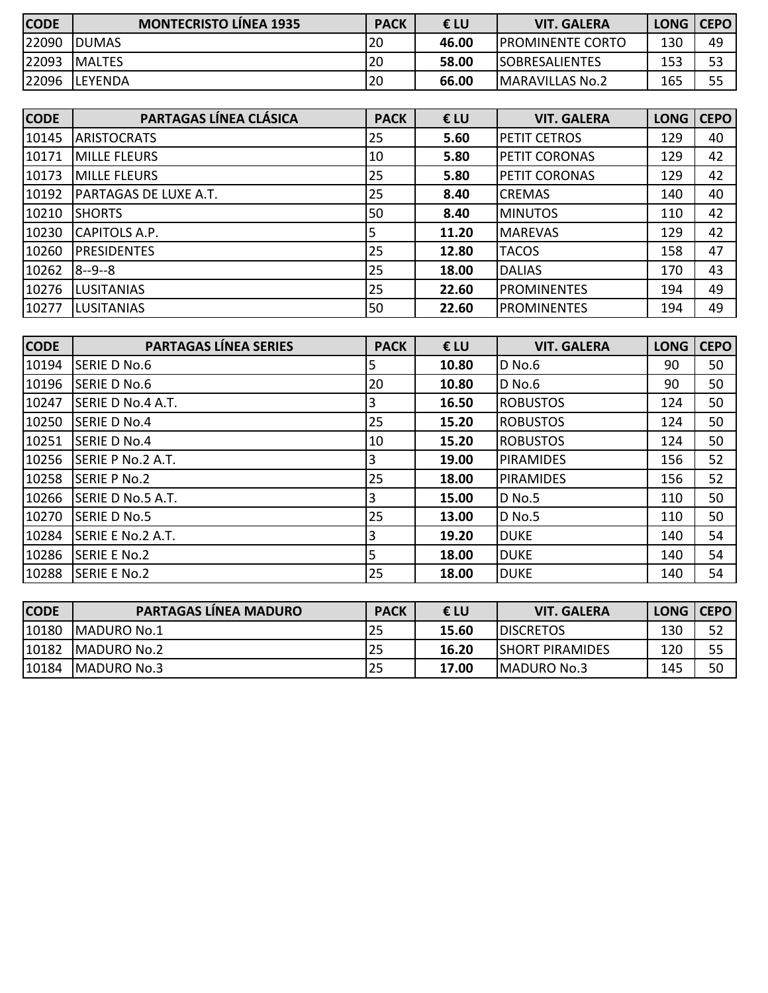| <b>CODE</b> | <b>MONTECRISTO LÍNEA 1935</b> | <b>PACK</b> | €LU   | <b>VIT. GALERA</b>       | LONG   CEPO |    |
|-------------|-------------------------------|-------------|-------|--------------------------|-------------|----|
| 22090       | <b>IDUMAS</b>                 | 20          | 46.00 | <b>IPROMINENTE CORTO</b> | 130         | 49 |
| 22093       | <b>IMALTES</b>                | 20          | 58.00 | <b>ISOBRESALIENTES</b>   | 153         | 53 |
| 22096       | <b>ILEYENDA</b>               | 20          | 66.00 | <b>MARAVILLAS No.2</b>   | 165         | 55 |

| <b>CODE</b> | PARTAGAS LÍNEA CLÁSICA       | <b>PACK</b> | €LU   | <b>VIT. GALERA</b>   | <b>LONG</b> | <b>CEPO</b> |
|-------------|------------------------------|-------------|-------|----------------------|-------------|-------------|
| 10145       | <b>ARISTOCRATS</b>           | 25          | 5.60  | <b>PETIT CETROS</b>  | 129         | 40          |
| 10171       | <b>MILLE FLEURS</b>          | 10          | 5.80  | <b>PETIT CORONAS</b> | 129         | 42          |
| 10173       | <b>MILLE FLEURS</b>          | 25          | 5.80  | <b>PETIT CORONAS</b> | 129         | 42          |
| 10192       | <b>PARTAGAS DE LUXE A.T.</b> | 25          | 8.40  | <b>CREMAS</b>        | 140         | 40          |
| 10210       | <b>SHORTS</b>                | 50          | 8.40  | <b>MINUTOS</b>       | 110         | 42          |
| 10230       | CAPITOLS A.P.                | 5           | 11.20 | <b>MAREVAS</b>       | 129         | 42          |
| 10260       | <b>PRESIDENTES</b>           | 25          | 12.80 | <b>TACOS</b>         | 158         | 47          |
| 10262       | 8--9--8                      | 25          | 18.00 | <b>DALIAS</b>        | 170         | 43          |
| 10276       | <b>LUSITANIAS</b>            | 25          | 22.60 | <b>PROMINENTES</b>   | 194         | 49          |
| 10277       | <b>LUSITANIAS</b>            | 50          | 22.60 | <b>PROMINENTES</b>   | 194         | 49          |

| <b>CODE</b> | <b>PARTAGAS LÍNEA SERIES</b> | <b>PACK</b> | €LU   | <b>VIT. GALERA</b> | <b>LONG</b> | <b>CEPO</b> |
|-------------|------------------------------|-------------|-------|--------------------|-------------|-------------|
| 10194       | <b>SERIE D No.6</b>          | 5           | 10.80 | D No.6             | 90          | 50          |
| 10196       | <b>SERIE D No.6</b>          | 20          | 10.80 | <b>D</b> No.6      | 90          | 50          |
| 10247       | SERIE D No.4 A.T.            | 3           | 16.50 | <b>ROBUSTOS</b>    | 124         | 50          |
| 10250       | <b>SERIE D No.4</b>          | 25          | 15.20 | <b>ROBUSTOS</b>    | 124         | 50          |
| 10251       | SERIE D No.4                 | 10          | 15.20 | <b>ROBUSTOS</b>    | 124         | 50          |
| 10256       | SERIE P No.2 A.T.            | 3           | 19.00 | <b>PIRAMIDES</b>   | 156         | 52          |
| 10258       | <b>SERIE P No.2</b>          | 25          | 18.00 | <b>PIRAMIDES</b>   | 156         | 52          |
| 10266       | SERIE D No.5 A.T.            | 3           | 15.00 | <b>D</b> No.5      | 110         | 50          |
| 10270       | SERIE D No.5                 | 25          | 13.00 | <b>D</b> No.5      | 110         | 50          |
| 10284       | SERIE E No.2 A.T.            | 3           | 19.20 | <b>DUKE</b>        | 140         | 54          |
| 10286       | <b>SERIE E No.2</b>          | 5           | 18.00 | <b>DUKE</b>        | 140         | 54          |
| 10288       | SERIE E No.2                 | 25          | 18.00 | <b>DUKE</b>        | 140         | 54          |

| <b>CODE</b> | <b>PARTAGAS LÍNEA MADURO</b> | <b>PACK</b> | €LU   | <b>VIT. GALERA</b>      | LONG   CEPO |    |
|-------------|------------------------------|-------------|-------|-------------------------|-------------|----|
| 10180       | <b>IMADURO No.1</b>          | 25          | 15.60 | <b>IDISCRETOS</b>       | 130         | 52 |
| 10182       | IMADURO No.2                 | 25          | 16.20 | <b>ISHORT PIRAMIDES</b> | 120         | 55 |
| 10184       | MADURO No.3                  | 25          | 17.00 | <b>IMADURO No.3</b>     | 145         | 50 |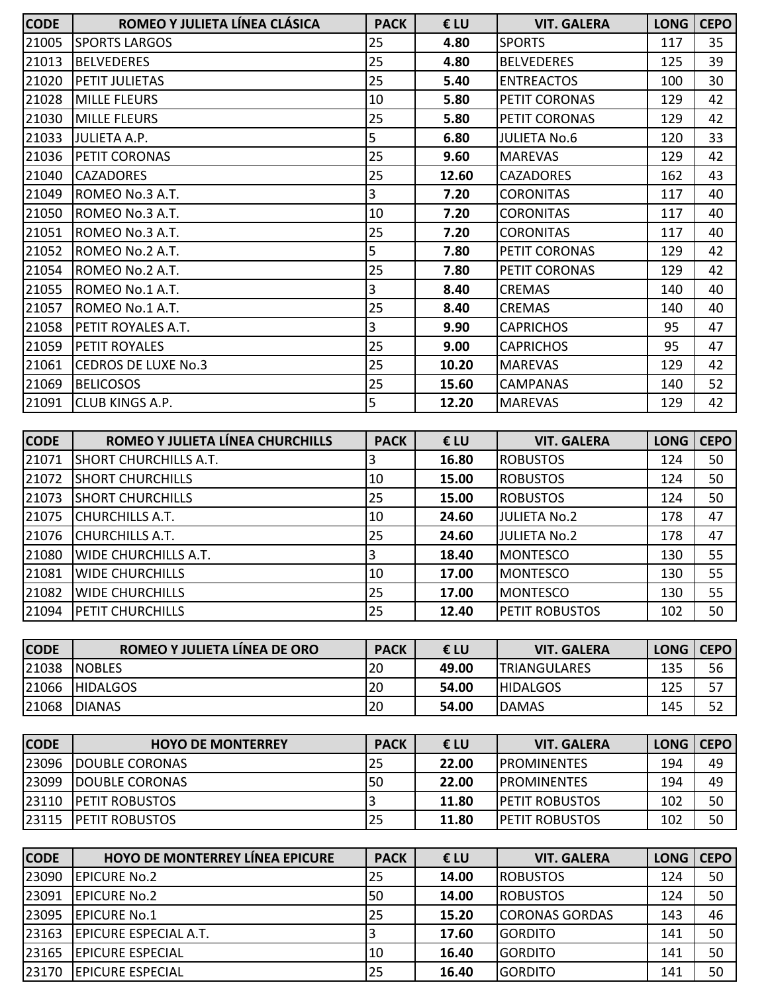| <b>CODE</b> | ROMEO Y JULIETA LÍNEA CLÁSICA    | <b>PACK</b> | €LU   | <b>VIT. GALERA</b>  | <b>LONG</b> | <b>CEPO</b> |
|-------------|----------------------------------|-------------|-------|---------------------|-------------|-------------|
| 21005       | <b>SPORTS LARGOS</b>             | 25          | 4.80  | <b>SPORTS</b>       | 117         | 35          |
| 21013       | <b>BELVEDERES</b>                | 25          | 4.80  | <b>BELVEDERES</b>   | 125         | 39          |
| 21020       | <b>PETIT JULIETAS</b>            | 25          | 5.40  | <b>ENTREACTOS</b>   | 100         | 30          |
| 21028       | <b>MILLE FLEURS</b>              | 10          | 5.80  | PETIT CORONAS       | 129         | 42          |
| 21030       | <b>MILLE FLEURS</b>              | 25          | 5.80  | PETIT CORONAS       | 129         | 42          |
| 21033       | JULIETA A.P.                     | 5           | 6.80  | <b>JULIETA No.6</b> | 120         | 33          |
| 21036       | <b>PETIT CORONAS</b>             | 25          | 9.60  | <b>MAREVAS</b>      | 129         | 42          |
| 21040       | <b>CAZADORES</b>                 | 25          | 12.60 | <b>CAZADORES</b>    | 162         | 43          |
| 21049       | ROMEO No.3 A.T.                  | 3           | 7.20  | <b>CORONITAS</b>    | 117         | 40          |
| 21050       | ROMEO No.3 A.T.                  | 10          | 7.20  | <b>CORONITAS</b>    | 117         | 40          |
| 21051       | ROMEO No.3 A.T.                  | 25          | 7.20  | <b>CORONITAS</b>    | 117         | 40          |
| 21052       | ROMEO No.2 A.T.                  | 5           | 7.80  | PETIT CORONAS       | 129         | 42          |
| 21054       | ROMEO No.2 A.T.                  | 25          | 7.80  | PETIT CORONAS       | 129         | 42          |
| 21055       | <b>ROMEO No.1 A.T.</b>           | 3           | 8.40  | <b>CREMAS</b>       | 140         | 40          |
| 21057       | ROMEO No.1 A.T.                  | 25          | 8.40  | <b>CREMAS</b>       | 140         | 40          |
| 21058       | <b>IPETIT ROYALES A.T.</b>       | 3           | 9.90  | <b>CAPRICHOS</b>    | 95          | 47          |
| 21059       | <b>PETIT ROYALES</b>             | 25          | 9.00  | <b>CAPRICHOS</b>    | 95          | 47          |
| 21061       | <b>CEDROS DE LUXE No.3</b>       | 25          | 10.20 | <b>MAREVAS</b>      | 129         | 42          |
| 21069       | <b>BELICOSOS</b>                 | 25          | 15.60 | <b>CAMPANAS</b>     | 140         | 52          |
| 21091       | <b>CLUB KINGS A.P.</b>           | 5           | 12.20 | <b>MAREVAS</b>      | 129         | 42          |
|             |                                  |             |       |                     |             |             |
| <b>CODE</b> | ROMEO Y JULIETA LÍNEA CHURCHILLS | <b>PACK</b> | €LU   | <b>VIT. GALERA</b>  | <b>LONG</b> | <b>CEPO</b> |
| 21071       | <b>SHORT CHURCHILLS A.T.</b>     | 3           | 16.80 | <b>ROBUSTOS</b>     | 124         | 50          |
| 21072       | <b>SHORT CHURCHILLS</b>          | 10          | 15.00 | <b>ROBUSTOS</b>     | 124         | 50          |
| 21073       | <b>SHORT CHURCHILLS</b>          | 25          | 15.00 | <b>ROBUSTOS</b>     | 124         | 50          |
| 21075       | <b>CHURCHILLS A.T.</b>           | 10          | 24.60 | <b>JULIETA No.2</b> | 178         | 47          |
| 21076       | <b>CHURCHILLS A.T.</b>           | 25          | 24.60 | <b>JULIETA No.2</b> | 178         | 47          |
| 21080       | <b>WIDE CHURCHILLS A.T.</b>      | 3           | 18.40 | <b>MONTESCO</b>     | 130         | 55          |
| 21081       | <b>WIDE CHURCHILLS</b>           | $10$        | 17.00 | MONTESCO            | 130         | 55          |
| 21082       | <b>WIDE CHURCHILLS</b>           | 25          | 17.00 | <b>MONTESCO</b>     | 130         | 55          |
| 21094       | <b>PETIT CHURCHILLS</b>          | 25          | 12.40 | PETIT ROBUSTOS      | 102         | 50          |
|             |                                  |             |       |                     |             |             |
| <b>CODE</b> | ROMEO Y JULIETA LÍNEA DE ORO     | <b>PACK</b> | €LU   | <b>VIT. GALERA</b>  | <b>LONG</b> | <b>CEPO</b> |
| 21038       | <b>NOBLES</b>                    | 20          | 49.00 | <b>TRIANGULARES</b> | 135         | 56          |
| 21066       | <b>HIDALGOS</b>                  | 20          | 54.00 | <b>HIDALGOS</b>     | 125         | 57          |
| 21068       | <b>DIANAS</b>                    | 20          | 54.00 | <b>DAMAS</b>        | 145         | 52          |

| <b>CODE</b> | <b>HOYO DE MONTERREY</b> | <b>PACK</b> | € LU  | <b>VIT. GALERA</b>     | LONG   CEPO |    |
|-------------|--------------------------|-------------|-------|------------------------|-------------|----|
| 23096       | <b>IDOUBLE CORONAS</b>   | 25          | 22.00 | <b>IPROMINENTES</b>    | 194         | 49 |
| 23099       | <b>IDOUBLE CORONAS</b>   | 50          | 22.00 | <b>IPROMINENTES</b>    | 194         | 49 |
| 23110       | <b>IPETIT ROBUSTOS</b>   |             | 11.80 | <b>IPETIT ROBUSTOS</b> | 102         | 50 |
| 23115       | <b>PETIT ROBUSTOS</b>    | 25          | 11.80 | <b>PETIT ROBUSTOS</b>  | 102         | 50 |

| <b>CODE</b> | <b>HOYO DE MONTERREY LÍNEA EPICURE</b> | <b>PACK</b> | € LU  | <b>VIT. GALERA</b>    | <b>LONG</b> | <b>CEPO</b> |
|-------------|----------------------------------------|-------------|-------|-----------------------|-------------|-------------|
| 23090       | <b>IEPICURE No.2</b>                   | 25          | 14.00 | <b>ROBUSTOS</b>       | 124         | 50          |
| 23091       | <b>IEPICURE No.2</b>                   | I50         | 14.00 | <b>ROBUSTOS</b>       | 124         | 50          |
| 23095       | <b>EPICURE No.1</b>                    | 25          | 15.20 | <b>CORONAS GORDAS</b> | 143         | 46          |
| 23163       | <b>IEPICURE ESPECIAL A.T.</b>          |             | 17.60 | <b>IGORDITO</b>       | 141         | 50          |
| 23165       | <b>IEPICURE ESPECIAL</b>               | 10          | 16.40 | <b>GORDITO</b>        | 141         | 50          |
| 23170       | <b>IEPICURE ESPECIAL</b>               | 25          | 16.40 | <b>GORDITO</b>        | 141         | 50          |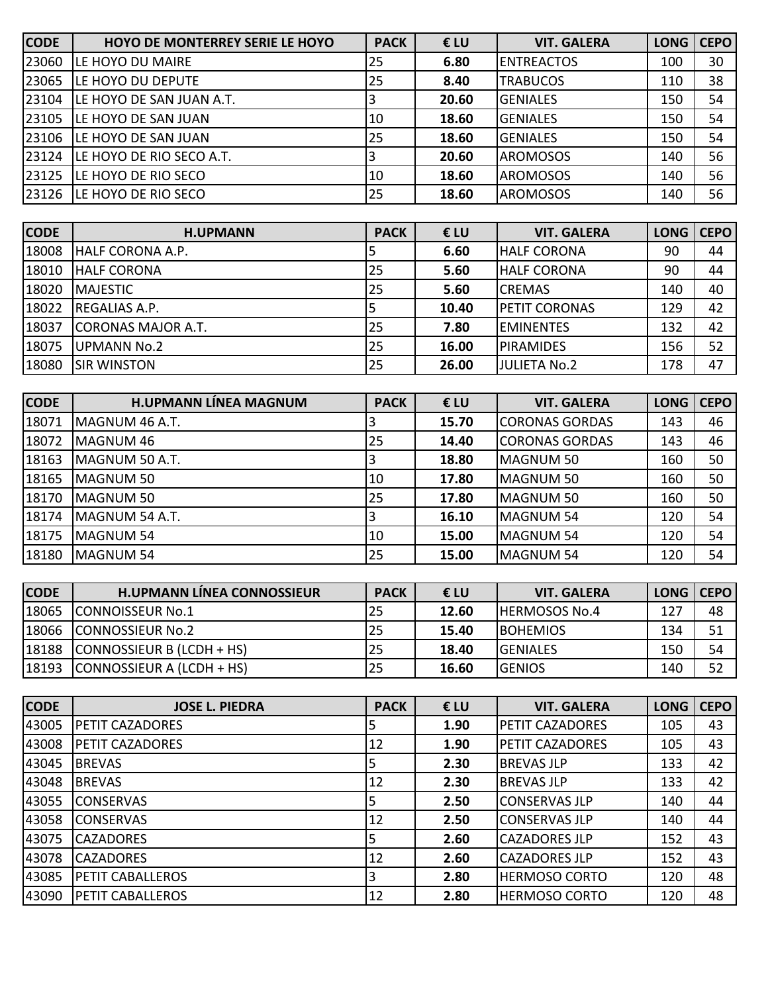| <b>CODE</b> | <b>HOYO DE MONTERREY SERIE LE HOYO</b> | <b>PACK</b> | €LU   | <b>VIT. GALERA</b> | LONG CEPO |    |
|-------------|----------------------------------------|-------------|-------|--------------------|-----------|----|
| 23060       | LE HOYO DU MAIRE                       | 25          | 6.80  | <b>ENTREACTOS</b>  | 100       | 30 |
| 23065       | LE HOYO DU DEPUTE                      | 25          | 8.40  | <b>TRABUCOS</b>    | 110       | 38 |
| 23104       | LE HOYO DE SAN JUAN A.T.               |             | 20.60 | <b>GENIALES</b>    | 150       | 54 |
| 23105       | LE HOYO DE SAN JUAN                    | 10          | 18.60 | <b>GENIALES</b>    | 150       | 54 |
| 23106       | LE HOYO DE SAN JUAN                    | 25          | 18.60 | <b>GENIALES</b>    | 150       | 54 |
| 23124       | LE HOYO DE RIO SECO A.T.               |             | 20.60 | <b>AROMOSOS</b>    | 140       | 56 |
| 23125       | LE HOYO DE RIO SECO                    | 10          | 18.60 | <b>AROMOSOS</b>    | 140       | 56 |
| 23126       | LE HOYO DE RIO SECO                    | 25          | 18.60 | <b>AROMOSOS</b>    | 140       | 56 |

| <b>CODE</b> | <b>H.UPMANN</b>           | <b>PACK</b> | €LU   | <b>VIT. GALERA</b>   | <b>LONG</b> | <b>CEPO</b> |
|-------------|---------------------------|-------------|-------|----------------------|-------------|-------------|
| 18008       | IHALF CORONA A.P.         |             | 6.60  | <b>HALF CORONA</b>   | 90          | 44          |
| 18010       | IHALF CORONA              | 25          | 5.60  | <b>HALF CORONA</b>   | 90          | 44          |
| 18020       | <b>IMAJESTIC</b>          | 25          | 5.60  | <b>CREMAS</b>        | 140         | 40          |
| 18022       | <b>REGALIAS A.P.</b>      |             | 10.40 | <b>PETIT CORONAS</b> | 129         | 42          |
| 18037       | <b>CORONAS MAJOR A.T.</b> | 25          | 7.80  | <b>EMINENTES</b>     | 132         | 42          |
| 18075       | UPMANN No.2               | 25          | 16.00 | <b>PIRAMIDES</b>     | 156         | 52          |
| 18080       | <b>SIR WINSTON</b>        | 25          | 26.00 | JULIETA No.2         | 178         | 47          |

| <b>CODE</b> | <b>H.UPMANN LÍNEA MAGNUM</b> | <b>PACK</b> | €LU   | <b>VIT. GALERA</b>    | <b>LONG</b> | <b>CEPO</b> |
|-------------|------------------------------|-------------|-------|-----------------------|-------------|-------------|
| 18071       | MAGNUM 46 A.T.               | 3           | 15.70 | <b>CORONAS GORDAS</b> | 143         | 46          |
| 18072       | MAGNUM 46                    | 25          | 14.40 | <b>CORONAS GORDAS</b> | 143         | 46          |
| 18163       | MAGNUM 50 A.T.               | 3           | 18.80 | MAGNUM 50             | 160         | 50          |
| 18165       | MAGNUM 50                    | 10          | 17.80 | MAGNUM 50             | 160         | 50          |
| 18170       | MAGNUM 50                    | 25          | 17.80 | MAGNUM 50             | 160         | 50          |
| 18174       | MAGNUM 54 A.T.               |             | 16.10 | MAGNUM 54             | 120         | 54          |
| 18175       | <b>MAGNUM 54</b>             | 10          | 15.00 | MAGNUM 54             | 120         | 54          |
| 18180       | <b>MAGNUM 54</b>             | 25          | 15.00 | MAGNUM 54             | 120         | 54          |

| <b>CODE</b> | <b>H.UPMANN LÍNEA CONNOSSIEUR</b> | <b>PACK</b> | €LU   | <b>VIT. GALERA</b>   | LONG   CEPO |    |
|-------------|-----------------------------------|-------------|-------|----------------------|-------------|----|
| 18065       | <b>CONNOISSEUR No.1</b>           | 25          | 12.60 | <b>HERMOSOS No.4</b> | 127         | 48 |
| 18066       | <b>CONNOSSIEUR No.2</b>           |             | 15.40 | <b>IBOHEMIOS</b>     | 134         | 51 |
| 18188       | $ COMNOSSEUR B (LCDH + HS)$       |             | 18.40 | <b>IGENIALES</b>     | 150         | 54 |
| 18193       | $ COMNOSSEUR A (LCDH + HS)$       | 25          | 16.60 | <b>GENIOS</b>        | 140         | 52 |

| <b>CODE</b> | <b>JOSE L. PIEDRA</b>   | <b>PACK</b> | €LU  | <b>VIT. GALERA</b>     | <b>LONG</b> | <b>CEPO</b> |
|-------------|-------------------------|-------------|------|------------------------|-------------|-------------|
| 43005       | <b>PETIT CAZADORES</b>  |             | 1.90 | <b>PETIT CAZADORES</b> | 105         | 43          |
| 43008       | <b>PETIT CAZADORES</b>  | 12          | 1.90 | <b>PETIT CAZADORES</b> | 105         | 43          |
| 43045       | <b>BREVAS</b>           | 15          | 2.30 | <b>BREVAS JLP</b>      | 133         | 42          |
| 43048       | <b>BREVAS</b>           | 12          | 2.30 | <b>BREVAS JLP</b>      | 133         | 42          |
| 43055       | <b>CONSERVAS</b>        | 5           | 2.50 | CONSERVAS JLP          | 140         | 44          |
| 43058       | <b>CONSERVAS</b>        | 12          | 2.50 | <b>CONSERVAS JLP</b>   | 140         | 44          |
| 43075       | <b>CAZADORES</b>        | 15          | 2.60 | <b>CAZADORES JLP</b>   | 152         | 43          |
| 43078       | <b>CAZADORES</b>        | 12          | 2.60 | <b>CAZADORES JLP</b>   | 152         | 43          |
| 43085       | <b>PETIT CABALLEROS</b> | 3           | 2.80 | <b>HERMOSO CORTO</b>   | 120         | 48          |
| 43090       | <b>PETIT CABALLEROS</b> | 12          | 2.80 | <b>HERMOSO CORTO</b>   | 120         | 48          |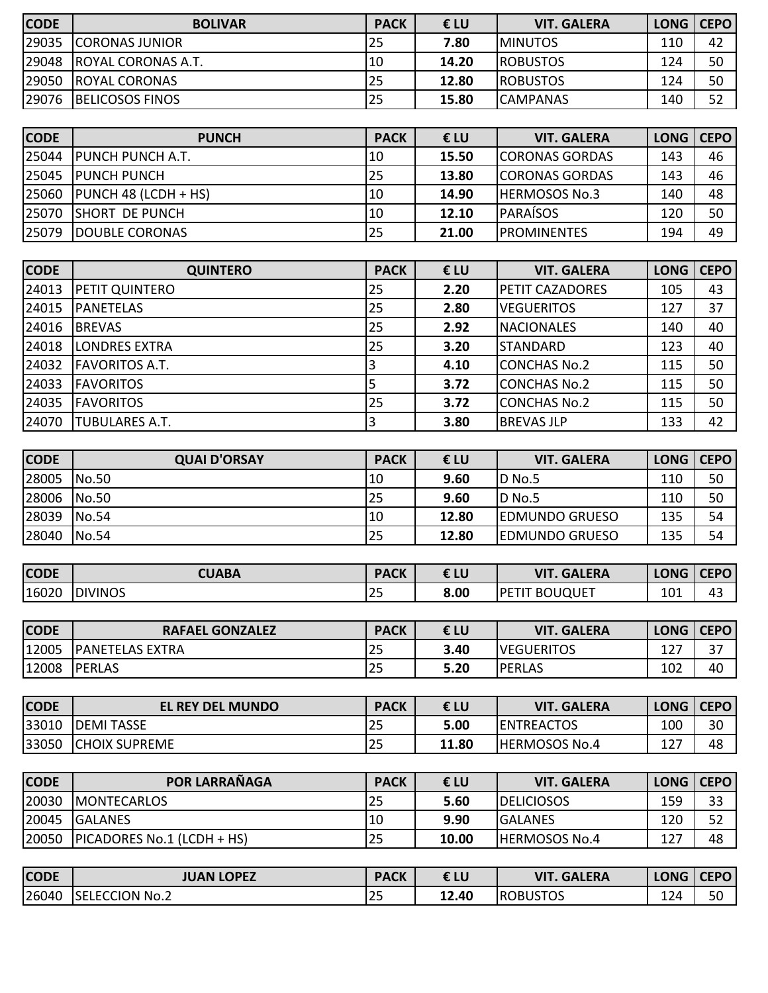| <b>CODE</b> | <b>BOLIVAR</b>            | <b>PACK</b> | € LU  | <b>VIT. GALERA</b> | LONG   CEPO |    |
|-------------|---------------------------|-------------|-------|--------------------|-------------|----|
| 29035       | <b>ICORONAS JUNIOR</b>    | 25          | 7.80  | <b>IMINUTOS</b>    | 110         | 42 |
| 29048       | <b>ROYAL CORONAS A.T.</b> | 10          | 14.20 | <b>IROBUSTOS</b>   | 124         | 50 |
| 29050       | <b>ROYAL CORONAS</b>      | l 25        | 12.80 | <b>IROBUSTOS</b>   | 124         | 50 |
| 29076       | <b>BELICOSOS FINOS</b>    | 25          | 15.80 | <b>CAMPANAS</b>    | 140         | 52 |

| <b>CODE</b> | <b>PUNCH</b>             | <b>PACK</b> | € LU  | <b>VIT. GALERA</b>     | LONG   CEPO |    |
|-------------|--------------------------|-------------|-------|------------------------|-------------|----|
| 25044       | <b>IPUNCH PUNCH A.T.</b> | 10          | 15.50 | <b>CORONAS GORDAS</b>  | 143         | 46 |
| 25045       | <b>IPUNCH PUNCH</b>      | 25          | 13.80 | <b>ICORONAS GORDAS</b> | 143         | 46 |
| 25060       | $ $ PUNCH 48 (LCDH + HS) | 10          | 14.90 | <b>HERMOSOS No.3</b>   | 140         | 48 |
| 25070       | <b>ISHORT DE PUNCH</b>   | 10          | 12.10 | <b>IPARAISOS</b>       | 120         | 50 |
| 25079       | <b>DOUBLE CORONAS</b>    | 25          | 21.00 | <b>IPROMINENTES</b>    | 194         | 49 |

| <b>CODE</b> | <b>QUINTERO</b>       | <b>PACK</b> | €LU  | <b>VIT. GALERA</b>     | <b>LONG</b> | <b>CEPO</b> |
|-------------|-----------------------|-------------|------|------------------------|-------------|-------------|
| 24013       | <b>PETIT QUINTERO</b> | 25          | 2.20 | <b>PETIT CAZADORES</b> | 105         | 43          |
| 24015       | <b>IPANETELAS</b>     | 25          | 2.80 | <b>VEGUERITOS</b>      | 127         | 37          |
| 24016       | <b>BREVAS</b>         | 25          | 2.92 | <b>NACIONALES</b>      | 140         | 40          |
| 24018       | <b>LONDRES EXTRA</b>  | 25          | 3.20 | <b>STANDARD</b>        | 123         | 40          |
| 24032       | <b>FAVORITOS A.T.</b> |             | 4.10 | <b>CONCHAS No.2</b>    | 115         | 50          |
| 24033       | <b>FAVORITOS</b>      | Ь           | 3.72 | <b>CONCHAS No.2</b>    | 115         | 50          |
| 24035       | <b>FAVORITOS</b>      | 25          | 3.72 | <b>CONCHAS No.2</b>    | 115         | 50          |
| 24070       | <b>TUBULARES A.T.</b> |             | 3.80 | <b>BREVAS JLP</b>      | 133         | 42          |

| <b>CODE</b> | <b>QUAI D'ORSAY</b> | <b>PACK</b> | €LU   | <b>VIT. GALERA</b>    | LONG   CEPO |    |
|-------------|---------------------|-------------|-------|-----------------------|-------------|----|
| 28005       | No.50               | 10          | 9.60  | ID No.5               | 110         | 50 |
| 28006       | No.50               | 25          | 9.60  | ID No.5               | 110         | 50 |
| 28039       | No.54               | 110         | 12.80 | <b>EDMUNDO GRUESO</b> | 135         | 54 |
| 28040       | No.54               | <b>25</b>   | 12.80 | <b>EDMUNDO GRUESO</b> | 135         | 54 |

| <b>CODE</b> | <b>CUABA</b>   | <b>PACK</b> | €LU  | <b>GALERA</b><br>VIT   | <b>LONG</b> | <b>CEPO</b> |
|-------------|----------------|-------------|------|------------------------|-------------|-------------|
| 16020       | <b>DIVINOS</b> | ر ے ا       | 8.00 | <b>BOUQUET</b><br>.PET | 101         | 43          |

| <b>CODE</b> | <b>RAFAEL GONZALEZ</b> | <b>PACK</b>          | €LU  | VIT<br>.GALERA    | LONG   CEPO |                          |
|-------------|------------------------|----------------------|------|-------------------|-------------|--------------------------|
| 12005       | <b>PANETELAS EXTRA</b> | $\sim$ $\sim$<br>ت ک | 3.40 | <b>VEGUERITOS</b> | 127<br>⊥∠ / | $\mathbin{\lnot}$<br>، ب |
| 12008       | <b>PERLAS</b>          | .<br>.<br>.<br>ت ک   | 5.20 | PERLAS            | 102         | 40                       |

| <b>CODE</b> | <b>EL REY DEL MUNDO</b> | <b>PACK</b> | €LU   | <b>VIT. GALERA</b>   | LONG   CEPO |    |
|-------------|-------------------------|-------------|-------|----------------------|-------------|----|
| 33010       | <b>IDEMITASSE</b>       | 25          | 5.00  | <b>ENTREACTOS</b>    | 100         | 30 |
| 33050       | <b>ICHOIX SUPREME</b>   | 25          | 11.80 | <b>HERMOSOS No.4</b> | 127<br>12 I | 48 |

| <b>CODE</b> | <b>POR LARRAÑAGA</b>           | <b>PACK</b> | € LU  | <b>VIT. GALERA</b>   | LONG   CEPO |    |
|-------------|--------------------------------|-------------|-------|----------------------|-------------|----|
| 20030       | <b>IMONTECARLOS</b>            | 25          | 5.60  | <b>IDELICIOSOS</b>   | 159         | 33 |
| 20045       | <b>IGALANES</b>                | 10          | 9.90  | <b>GALANES</b>       | 120         | 52 |
| 20050       | $ P$ ICADORES No.1 (LCDH + HS) | 25          | 10.00 | <b>HERMOSOS No.4</b> | 127         | 48 |

| <b>CODE</b> | <b>JUAN LOPEZ</b>            | <b>PACK</b> | € LU  | <b>GALERA</b><br>VIT | <b>LONG</b> | CEPO |
|-------------|------------------------------|-------------|-------|----------------------|-------------|------|
| 26040       | <b>ISELECCION</b><br>`' No.∠ | --          | 12.40 | <b>ROBUSTOS</b>      | 124         | 50   |